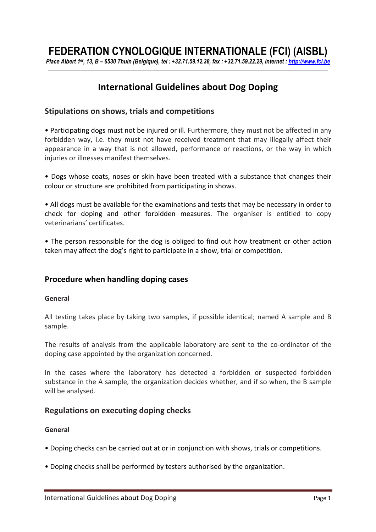# **FEDERATION CYNOLOGIQUE INTERNATIONALE (FCI) (AISBL)**

*Place Albert 1er, 13, B – 6530 Thuin (Belgique), tel : +32.71.59.12.38, fax : +32.71.59.22.29, internet : http://www.fci.be \_\_\_\_\_\_\_\_\_\_\_\_\_\_\_\_\_\_\_\_\_\_\_\_\_\_\_\_\_\_\_\_\_\_\_\_\_\_\_\_\_\_\_\_\_\_\_\_\_\_\_\_\_\_\_\_\_\_\_\_\_\_\_\_\_\_\_\_\_\_\_\_\_\_\_\_\_\_\_\_\_\_\_\_\_\_\_\_\_\_\_\_\_\_\_\_\_\_\_\_\_\_\_\_\_\_\_\_* 

## **International Guidelines about Dog Doping**

### **Stipulations on shows, trials and competitions**

• Participating dogs must not be injured or ill. Furthermore, they must not be affected in any forbidden way, i.e. they must not have received treatment that may illegally affect their appearance in a way that is not allowed, performance or reactions, or the way in which injuries or illnesses manifest themselves.

• Dogs whose coats, noses or skin have been treated with a substance that changes their colour or structure are prohibited from participating in shows.

• All dogs must be available for the examinations and tests that may be necessary in order to check for doping and other forbidden measures. The organiser is entitled to copy veterinarians' certificates.

• The person responsible for the dog is obliged to find out how treatment or other action taken may affect the dog's right to participate in a show, trial or competition.

## **Procedure when handling doping cases**

#### **General**

All testing takes place by taking two samples, if possible identical; named A sample and B sample.

The results of analysis from the applicable laboratory are sent to the co-ordinator of the doping case appointed by the organization concerned.

In the cases where the laboratory has detected a forbidden or suspected forbidden substance in the A sample, the organization decides whether, and if so when, the B sample will be analysed.

#### **Regulations on executing doping checks**

#### **General**

- Doping checks can be carried out at or in conjunction with shows, trials or competitions.
- Doping checks shall be performed by testers authorised by the organization.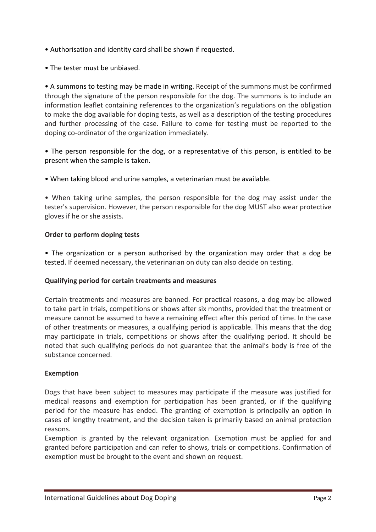- Authorisation and identity card shall be shown if requested.
- The tester must be unbiased.

• A summons to testing may be made in writing. Receipt of the summons must be confirmed through the signature of the person responsible for the dog. The summons is to include an information leaflet containing references to the organization's regulations on the obligation to make the dog available for doping tests, as well as a description of the testing procedures and further processing of the case. Failure to come for testing must be reported to the doping co-ordinator of the organization immediately.

• The person responsible for the dog, or a representative of this person, is entitled to be present when the sample is taken.

• When taking blood and urine samples, a veterinarian must be available.

• When taking urine samples, the person responsible for the dog may assist under the tester's supervision. However, the person responsible for the dog MUST also wear protective gloves if he or she assists.

## **Order to perform doping tests**

• The organization or a person authorised by the organization may order that a dog be tested. If deemed necessary, the veterinarian on duty can also decide on testing.

## **Qualifying period for certain treatments and measures**

Certain treatments and measures are banned. For practical reasons, a dog may be allowed to take part in trials, competitions or shows after six months, provided that the treatment or measure cannot be assumed to have a remaining effect after this period of time. In the case of other treatments or measures, a qualifying period is applicable. This means that the dog may participate in trials, competitions or shows after the qualifying period. It should be noted that such qualifying periods do not guarantee that the animal's body is free of the substance concerned.

## **Exemption**

Dogs that have been subject to measures may participate if the measure was justified for medical reasons and exemption for participation has been granted, or if the qualifying period for the measure has ended. The granting of exemption is principally an option in cases of lengthy treatment, and the decision taken is primarily based on animal protection reasons.

Exemption is granted by the relevant organization. Exemption must be applied for and granted before participation and can refer to shows, trials or competitions. Confirmation of exemption must be brought to the event and shown on request.